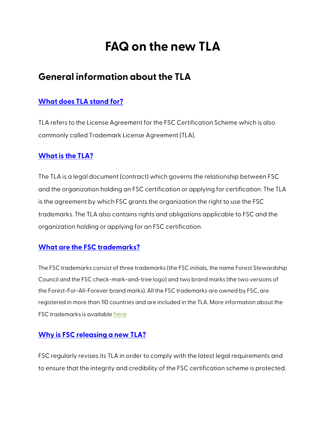# **FAQ on the new TLA**

## **General information about the TLA**

## **[What does TLA stand for?](https://connect.fsc.org/es/tla/faqs#what-does-tla-stand-for)**

TLA refers to the License Agreement for the FSC Certification Scheme which is also commonly called Trademark License Agreement (TLA).

## **[What is the TLA?](https://connect.fsc.org/es/tla/faqs#what-is-the-tla)**

The TLA is a legal document (contract) which governs the relationship between FSC and the organization holding an FSC certification or applying for certification. The TLA is the agreement by which FSC grants the organization the right to use the FSC trademarks. The TLA also contains rights and obligations applicable to FSC and the organization holding or applying for an FSC certification.

## **[What are the FSC trademarks?](https://connect.fsc.org/es/tla/faqs#what-are-the-fsc-trademarks)**

The FSC trademarks consist of three trademarks (the FSC initials, the name Forest Stewardship Council and the FSC check-mark-and-tree logo) and two brand marks (the two versions of the Forest-For-All-Forever brand marks). All the FSC trademarks are owned by FSC, are registered in more than 110 countries and are included in the TLA. More information about the FSC trademarks is availabl[e here](https://fsc.org/en/details-page/use-our-logo#five-fsc-trademarks-) 

## **[Why is FSC releasing a new TLA?](https://connect.fsc.org/es/tla/faqs#why-is-fsc-releasing-a-new-tla)**

FSC regularly revises its TLA in order to comply with the latest legal requirements and to ensure that the integrity and credibility of the FSC certification scheme is protected.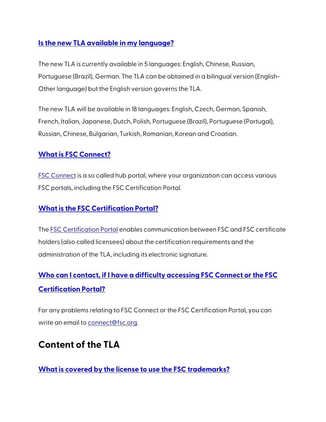## **[Is the new TLA available in my language?](https://connect.fsc.org/es/tla/faqs#is-the-new-tla-available-in-my-language)**

The new TLA is currently available in 5 languages: English, Chinese, Russian, Portuguese (Brazil), German. The TLA can be obtained in a bilingual version (English-Other language) but the English version governs the TLA.

The new TLA will be available in 18 languages: English, Czech, German, Spanish, French, Italian, Japanese, Dutch, Polish, Portuguese (Brazil), Portuguese (Portugal), Russian, Chinese, Bulgarian, Turkish, Romanian, Korean and Croatian.

## **[What is FSC Connect?](https://connect.fsc.org/es/tla/faqs#what-is-fsc-connect)**

[FSC Connect](https://connect.fsc.org/) is a so called hub portal, where your organization can access various FSC portals, including the FSC Certification Portal.

## **[What is the FSC Certification Portal?](https://connect.fsc.org/es/tla/faqs#what-is-the-fsc-certification-portal)**

Th[e FSC Certification Portal](https://connect.fsc.org/tla/home) enables communication between FSC and FSC certificate holders (also called licensees) about the certification requirements and the administration of the TLA, including its electronic signature.

## **[Who can I contact, if I have a difficulty accessing FSC Connect or the FSC](https://connect.fsc.org/es/tla/faqs#who-can-i-contact-if-i-have-a-difficulty-accessing-fsc-connect-or-the-fsc-certification-portal)  [Certification Portal?](https://connect.fsc.org/es/tla/faqs#who-can-i-contact-if-i-have-a-difficulty-accessing-fsc-connect-or-the-fsc-certification-portal)**

For any problems relating to FSC Connect or the FSC Certification Portal, you can write an email to [connect@fsc.org.](mailto:connect@fsc.org)

## **Content of the TLA**

**[What is covered by the license to use the FSC trademarks?](https://connect.fsc.org/es/tla/faqs#what-is-covered-by-the-license-to-use-the-fsc-trademarks)**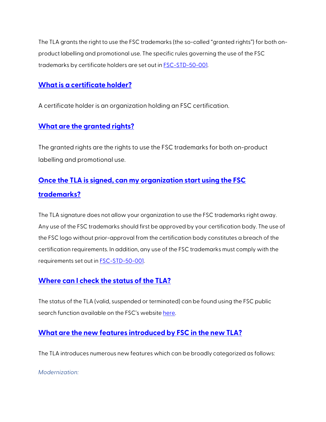The TLA grants the right to use the FSC trademarks (the so-called "granted rights") for both onproduct labelling and promotional use. The specific rules governing the use of the FSC trademarks by certificate holders are set out in [FSC-STD-50-001.](https://fsc.org/en/document-centre/documents/resource/225)

## **[What is a certificate holder?](https://connect.fsc.org/es/tla/faqs#what-is-a-certificate-holder)**

A certificate holder is an organization holding an FSC certification.

## **[What are the granted rights?](https://connect.fsc.org/es/tla/faqs#what-are-the-granted-rights)**

The granted rights are the rights to use the FSC trademarks for both on-product labelling and promotional use.

## **[Once the TLA is signed, can my organization start using the FSC](https://connect.fsc.org/es/tla/faqs#once-the-tla-is-signed-can-my-organization-start-using-the-fsc-trademarks)  [trademarks?](https://connect.fsc.org/es/tla/faqs#once-the-tla-is-signed-can-my-organization-start-using-the-fsc-trademarks)**

The TLA signature does not allow your organization to use the FSC trademarks right away. Any use of the FSC trademarks should first be approved by your certification body. The use of the FSC logo without prior-approval from the certification body constitutes a breach of the certification requirements. In addition, any use of the FSC trademarks must comply with the requirements set out i[n FSC-STD-50-001.](https://fsc.org/en/document-centre/documents/resource/225)

## **[Where can I check the status of the TLA?](https://connect.fsc.org/es/tla/faqs#where-can-i-check-the-status-of-the-tla)**

The status of the TLA (valid, suspended or terminated) can be found using the FSC public search function available on the FSC's website [here.](https://info.fsc.org/)

## **[What are the new features introduced by FSC in the new TLA?](https://connect.fsc.org/es/tla/faqs#what-are-the-new-features-introduced-by-fsc-in-the-new-tla)**

The TLA introduces numerous new features which can be broadly categorized as follows:

*Modernization:*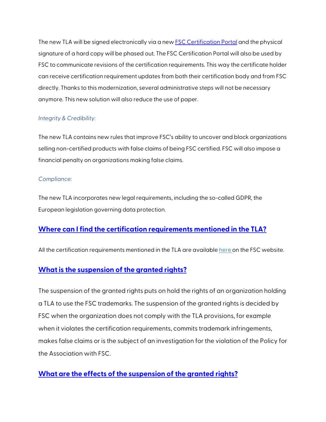The new TLA will be signed electronically via a new **FSC Certification Portal and the physical** signature of a hard copy will be phased out. The FSC Certification Portal will also be used by FSC to communicate revisions of the certification requirements. This way the certificate holder can receive certification requirement updates from both their certification body and from FSC directly. Thanks to this modernization, several administrative steps will not be necessary anymore. This new solution will also reduce the use of paper.

#### *Integrity & Credibility:*

The new TLA contains new rules that improve FSC's ability to uncover and block organizations selling non-certified products with false claims of being FSC certified. FSC will also impose a financial penalty on organizations making false claims.

#### *Compliance:*

The new TLA incorporates new legal requirements, including the so-called GDPR, the European legislation governing data protection.

#### **[Where can I find the certification requirements mentioned in the TLA?](https://connect.fsc.org/es/tla/faqs#where-can-i-find-the-certification-requirements-mentioned-in-the-tla)**

All the certification requirements mentioned in the TLA are availabl[e here o](https://fsc.org/en/normative-framework-overview)n the FSC website.

#### **[What is the suspension of the granted rights?](https://connect.fsc.org/es/tla/faqs#what-is-the-suspension-of-the-granted-rights)**

The suspension of the granted rights puts on hold the rights of an organization holding a TLA to use the FSC trademarks. The suspension of the granted rights is decided by FSC when the organization does not comply with the TLA provisions, for example when it violates the certification requirements, commits trademark infringements, makes false claims or is the subject of an investigation for the violation of the Policy for the Association with FSC.

## **[What are the effects of the suspension of the granted rights?](https://connect.fsc.org/es/tla/faqs#what-are-the-effects-of-the-suspension-of-the-granted-rights)**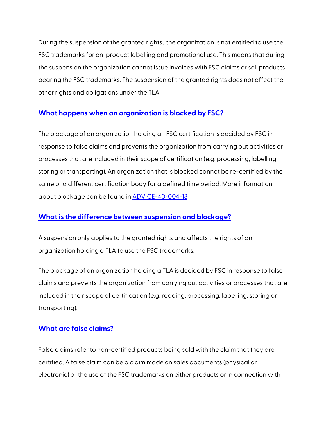During the suspension of the granted rights, the organization is not entitled to use the FSC trademarks for on-product labelling and promotional use. This means that during the suspension the organization cannot issue invoices with FSC claims or sell products bearing the FSC trademarks. The suspension of the granted rights does not affect the other rights and obligations under the TLA.

#### **[What happens when an organization is blocked by FSC?](https://connect.fsc.org/es/tla/faqs#what-happens-when-an-organization-is-blocked-by-fsc)**

The blockage of an organization holding an FSC certification is decided by FSC in response to false claims and prevents the organization from carrying out activities or processes that are included in their scope of certification (e.g. processing, labelling, storing or transporting). An organization that is blocked cannot be re-certified by the same or a different certification body for a defined time period. More information about blockage can be found in [ADVICE-40-004-18](https://fsc.org/en/document-centre/documents/resource/173)

#### **[What is the difference between suspension and blockage?](https://connect.fsc.org/es/tla/faqs#what-is-the-difference-between-suspension-and-blockage)**

A suspension only applies to the granted rights and affects the rights of an organization holding a TLA to use the FSC trademarks.

The blockage of an organization holding a TLA is decided by FSC in response to false claims and prevents the organization from carrying out activities or processes that are included in their scope of certification (e.g. reading, processing, labelling, storing or transporting).

#### **[What are false claims?](https://connect.fsc.org/es/tla/faqs#what-are-false-claims)**

False claims refer to non-certified products being sold with the claim that they are certified. A false claim can be a claim made on sales documents (physical or electronic) or the use of the FSC trademarks on either products or in connection with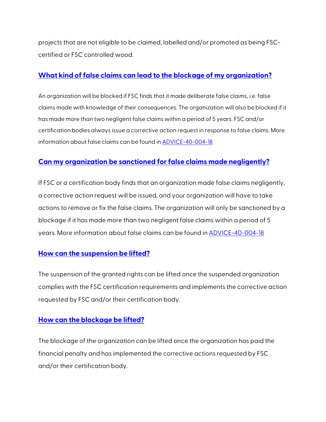projects that are not eligible to be claimed, labelled and/or promoted as being FSCcertified or FSC controlled wood.

## **[What kind of false claims can lead to the blockage of my organization?](https://connect.fsc.org/es/tla/faqs#what-kind-of-false-claims-can-lead-to-the-blockage-of-my-organization)**

An organization will be blocked if FSC finds that it made deliberate false claims, i.e. false claims made with knowledge of their consequences. The organization will also be blocked if it has made more than two negligent false claims within a period of 5 years. FSC and/or certification bodies always issue a corrective action request in response to false claims. More information about false claims can be found in [ADVICE-40-004-18](https://fsc.org/en/document-centre/documents/resource/173)

## **[Can my organization be sanctioned for false claims made negligently?](https://connect.fsc.org/es/tla/faqs#can-my-organization-be-sanctioned-for-false-claims-made-negligently)**

If FSC or a certification body finds that an organization made false claims negligently, a corrective action request will be issued, and your organization will have to take actions to remove or fix the false claims. The organization will only be sanctioned by a blockage if it has made more than two negligent false claims within a period of 5 years. More information about false claims can be found i[n ADVICE-40-004-18](https://fsc.org/en/document-centre/documents/resource/173)

## **[How can the suspension be lifted?](https://connect.fsc.org/es/tla/faqs#how-can-the-suspension-be-lifted)**

The suspension of the granted rights can be lifted once the suspended organization complies with the FSC certification requirements and implements the corrective action requested by FSC and/or their certification body.

#### **[How can the blockage be lifted?](https://connect.fsc.org/es/tla/faqs#how-can-the-blockage-be-lifted)**

The blockage of the organization can be lifted once the organization has paid the financial penalty and has implemented the corrective actions requested by FSC and/or their certification body.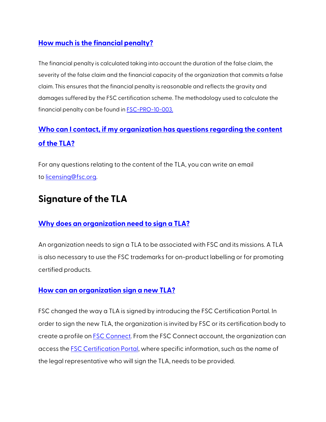## **[How much is the financial penalty?](https://connect.fsc.org/es/tla/faqs#how-much-is-the-financial-penalty)**

The financial penalty is calculated taking into account the duration of the false claim, the severity of the false claim and the financial capacity of the organization that commits a false claim. This ensures that the financial penalty is reasonable and reflects the gravity and damages suffered by the FSC certification scheme. The methodology used to calculate the financial penalty can be found in [FSC-PRO-10-003.](https://fsc.org/en/document-centre/documents/resource/431)

## **[Who can I contact, if my organization has questions regarding the content](https://connect.fsc.org/es/tla/faqs#who-can-i-contact-if-my-organization-has-questions-regarding-the-content-of-the-tla)  [of the TLA?](https://connect.fsc.org/es/tla/faqs#who-can-i-contact-if-my-organization-has-questions-regarding-the-content-of-the-tla)**

For any questions relating to the content of the TLA, you can write an email to [licensing@fsc.org.](mailto:licensing@fsc.org)

## **Signature of the TLA**

## **[Why does an organization need to sign a TLA?](https://connect.fsc.org/es/tla/faqs#why-does-an-organization-need-to-sign-a-tla)**

An organization needs to sign a TLA to be associated with FSC and its missions. A TLA is also necessary to use the FSC trademarks for on-product labelling or for promoting certified products.

## **[How can an organization sign a new TLA?](https://connect.fsc.org/es/tla/faqs#how-can-an-organization-sign-a-new-tla)**

FSC changed the way a TLA is signed by introducing the FSC Certification Portal. In order to sign the new TLA, the organization is invited by FSC or its certification body to create a profile on **FSC Connect**. From the FSC Connect account, the organization can access th[e FSC Certification Portal,](https://connect.fsc.org/tla/home) where specific information, such as the name of the legal representative who will sign the TLA, needs to be provided.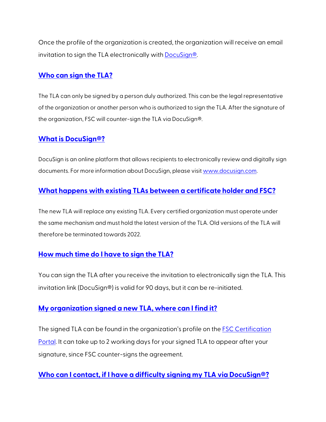Once the profile of the organization is created, the organization will receive an email invitation to sign the TLA electronically with **DocuSign®**.

### **[Who can sign the TLA?](https://connect.fsc.org/es/tla/faqs#who-can-sign-the-tla)**

The TLA can only be signed by a person duly authorized. This can be the legal representative of the organization or another person who is authorized to sign the TLA. After the signature of the organization, FSC will counter-sign the TLA via DocuSign®.

#### **[What is DocuSign®?](https://connect.fsc.org/es/tla/faqs#what-is-docusignr)**

DocuSign is an online platform that allows recipients to electronically review and digitally sign documents. For more information about DocuSign, please visi[t www.docusign.com.](http://www.docusign.com/)

## **[What happens with existing TLAs between a certificate holder and FSC?](https://connect.fsc.org/es/tla/faqs#what-happens-with-existing-tlas-between-a-certificate-holder-and-fsc)**

The new TLA will replace any existing TLA. Every certified organization must operate under the same mechanism and must hold the latest version of the TLA. Old versions of the TLA will therefore be terminated towards 2022.

## **[How much time do I have to sign the TLA?](https://connect.fsc.org/es/tla/faqs#how-much-time-do-i-have-to-sign-the-tla)**

You can sign the TLA after you receive the invitation to electronically sign the TLA. This invitation link (DocuSign®) is valid for 90 days, but it can be re-initiated.

#### **[My organization signed a new TLA, where can I find it?](https://connect.fsc.org/es/tla/faqs#my-organization-signed-a-new-tla-where-can-i-find-it)**

The signed TLA can be found in the organization's profile on th[e FSC Certification](https://connect.fsc.org/tla/home)  [Portal.](https://connect.fsc.org/tla/home) It can take up to 2 working days for your signed TLA to appear after your signature, since FSC counter-signs the agreement.

## **[Who can I contact, if I have a difficulty signing my TLA via DocuSign®?](https://connect.fsc.org/es/tla/faqs#who-can-i-contact-if-i-have-a-difficulty-signing-my-tla-via-docusignr)**